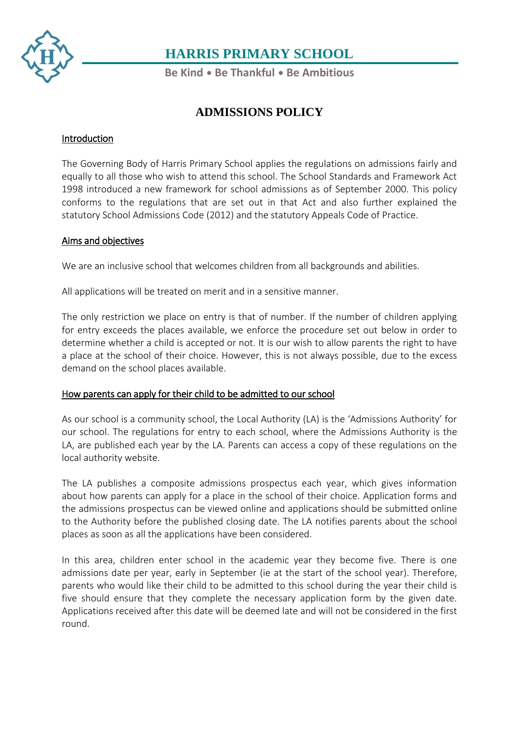

**Be Kind** • **Be Thankful** • **Be Ambitious**

### **ADMISSIONS POLICY**

### Introduction

The Governing Body of Harris Primary School applies the regulations on admissions fairly and equally to all those who wish to attend this school. The School Standards and Framework Act 1998 introduced a new framework for school admissions as of September 2000. This policy conforms to the regulations that are set out in that Act and also further explained the statutory School Admissions Code (2012) and the statutory Appeals Code of Practice.

### Aims and objectives

We are an inclusive school that welcomes children from all backgrounds and abilities.

All applications will be treated on merit and in a sensitive manner.

The only restriction we place on entry is that of number. If the number of children applying for entry exceeds the places available, we enforce the procedure set out below in order to determine whether a child is accepted or not. It is our wish to allow parents the right to have a place at the school of their choice. However, this is not always possible, due to the excess demand on the school places available.

### How parents can apply for their child to be admitted to our school

As our school is a community school, the Local Authority (LA) is the 'Admissions Authority' for our school. The regulations for entry to each school, where the Admissions Authority is the LA, are published each year by the LA. Parents can access a copy of these regulations on the local authority website.

The LA publishes a composite admissions prospectus each year, which gives information about how parents can apply for a place in the school of their choice. Application forms and the admissions prospectus can be viewed online and applications should be submitted online to the Authority before the published closing date. The LA notifies parents about the school places as soon as all the applications have been considered.

In this area, children enter school in the academic year they become five. There is one admissions date per year, early in September (ie at the start of the school year). Therefore, parents who would like their child to be admitted to this school during the year their child is five should ensure that they complete the necessary application form by the given date. Applications received after this date will be deemed late and will not be considered in the first round.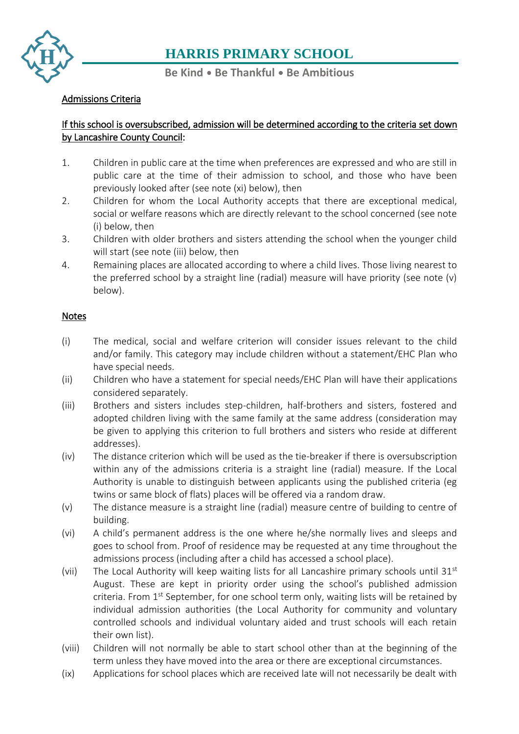

#### **Be Kind** • **Be Thankful** • **Be Ambitious**

### [Adm](https://www.harris.lancs.sch.uk/contact-details/)issions Criteria

### [If th](https://www.harris.lancs.sch.uk/contact-details/)is school is oversubscribed, admission will be determined according to the criteria set down by Lancashire County Council:

- 1. Children in public care at the time when preferences are expressed and who are still in public care at the time of their admission to school, and those who have been previously looked after (see note (xi) below), then
- 2. Children for whom the Local Authority accepts that there are exceptional medical, social or welfare reasons which are directly relevant to the school concerned (see note (i) below, then
- 3. Children with older brothers and sisters attending the school when the younger child will start (see note (iii) below, then
- 4. Remaining places are allocated according to where a child lives. Those living nearest to the preferred school by a straight line (radial) measure will have priority (see note (v) below).

#### Notes

- (i) The medical, social and welfare criterion will consider issues relevant to the child and/or family. This category may include children without a statement/EHC Plan who have special needs.
- (ii) Children who have a statement for special needs/EHC Plan will have their applications considered separately.
- (iii) Brothers and sisters includes step-children, half-brothers and sisters, fostered and adopted children living with the same family at the same address (consideration may be given to applying this criterion to full brothers and sisters who reside at different addresses).
- (iv) The distance criterion which will be used as the tie-breaker if there is oversubscription within any of the admissions criteria is a straight line (radial) measure. If the Local Authority is unable to distinguish between applicants using the published criteria (eg twins or same block of flats) places will be offered via a random draw.
- (v) The distance measure is a straight line (radial) measure centre of building to centre of building.
- (vi) A child's permanent address is the one where he/she normally lives and sleeps and goes to school from. Proof of residence may be requested at any time throughout the admissions process (including after a child has accessed a school place).
- (vii) The Local Authority will keep waiting lists for all Lancashire primary schools until  $31<sup>st</sup>$ August. These are kept in priority order using the school's published admission criteria. From  $1<sup>st</sup>$  September, for one school term only, waiting lists will be retained by individual admission authorities (the Local Authority for community and voluntary controlled schools and individual voluntary aided and trust schools will each retain their own list).
- (viii) Children will not normally be able to start school other than at the beginning of the term unless they have moved into the area or there are exceptional circumstances.
- (ix) Applications for school places which are received late will not necessarily be dealt with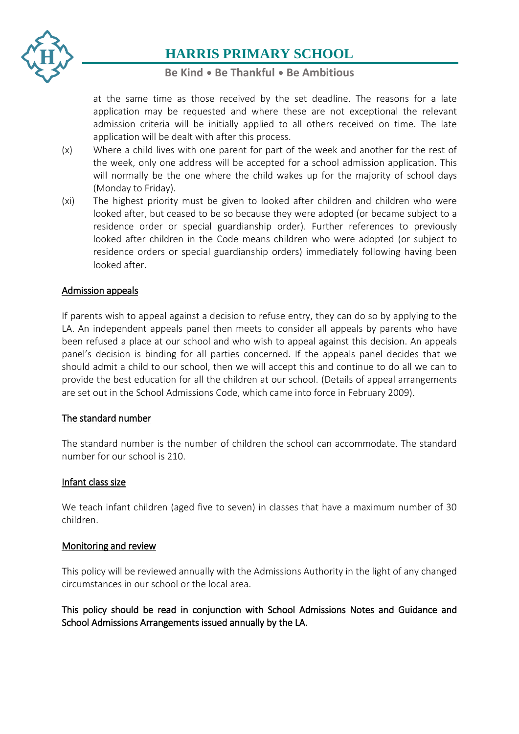

### **Be Kind** • **Be Thankful** • **Be Ambitious**

at the same time as those received by the set deadline. The reasons for a late application may be requested and where these are not exceptional the relevant admission criteria will be initially applied to all others received on time. The late application will be dealt with after this process.

- (x) Where a child lives with one parent for part of the week and another for the rest of the week, only one address will be accepted for a school admission application. This will normally be the one where the child wakes up for the majority of school days (Monday to Friday).
- (xi) The highest priority must be given to looked after children and children who were looked after, but ceased to be so because they were adopted (or became subject to a residence order or special guardianship order). Further references to previously looked after children in the Code means children who were adopted (or subject to residence orders or special guardianship orders) immediately following having been looked after.

### Admission appeals

If parents wish to appeal against a decision to refuse entry, they can do so by applying to the LA. An independent appeals panel then meets to consider all appeals by parents who have been refused a place at our school and who wish to appeal against this decision. An appeals panel's decision is binding for all parties concerned. If the appeals panel decides that we should admit a child to our school, then we will accept this and continue to do all we can to provide the best education for all the children at our school. (Details of appeal arrangements are set out in the School Admissions Code, which came into force in February 2009).

### The standard number

The standard number is the number of children the school can accommodate. The standard number for our school is 210.

### Infant class size

We teach infant children (aged five to seven) in classes that have a maximum number of 30 children.

### Monitoring and review

This policy will be reviewed annually with the Admissions Authority in the light of any changed circumstances in our school or the local area.

### This policy should be read in conjunction with School Admissions Notes and Guidance and School Admissions Arrangements issued annually by the LA.